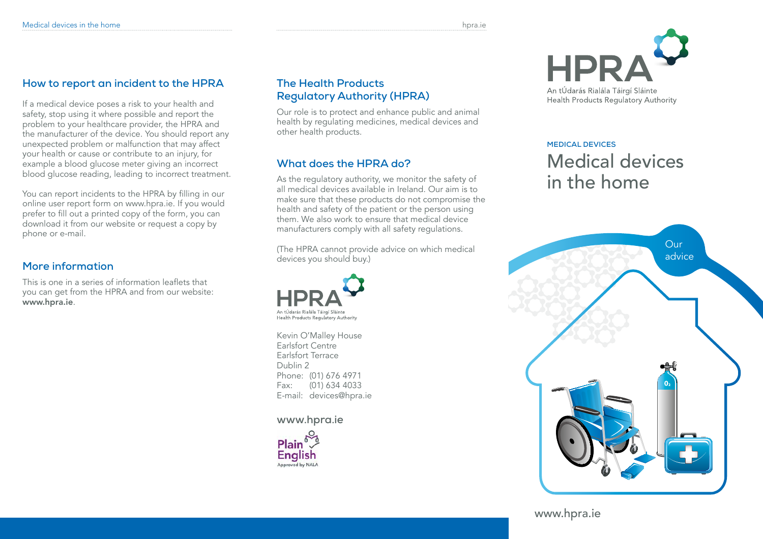# **How to report an incident to the HPRA**

If a medical device poses a risk to your health and safety, stop using it where possible and report the problem to your healthcare provider, the HPRA and the manufacturer of the device. You should report any unexpected problem or malfunction that may affect your health or cause or contribute to an injury, for example a blood glucose meter giving an incorrect blood glucose reading, leading to incorrect treatment.

You can report incidents to the HPRA by filling in our online user report form on www.hpra.ie. If you would prefer to fill out a printed copy of the form, you can download it from our website or request a copy by phone or e-mail.

# **More information**

This is one in a series of information leaflets that you can get from the HPRA and from our website: www.hpra.ie.

# **The Health Products Regulatory Authority (HPRA)**

Our role is to protect and enhance public and animal health by regulating medicines, medical devices and other health products.

# **What does the HPRA do?**

As the regulatory authority, we monitor the safety of all medical devices available in Ireland. Our aim is to make sure that these products do not compromise the health and safety of the patient or the person using them. We also work to ensure that medical device manufacturers comply with all safety regulations.

(The HPRA cannot provide advice on which medical devices you should buy.)



Kevin O'Malley House Earlsfort Centre Earlsfort Terrace Dublin 2 Phone: (01) 676 4971 Fax: (01) 634 4033 E-mail: devices@hpra.ie

### **www.hpra.ie**





# **Medical Devices** Medical devices in the home